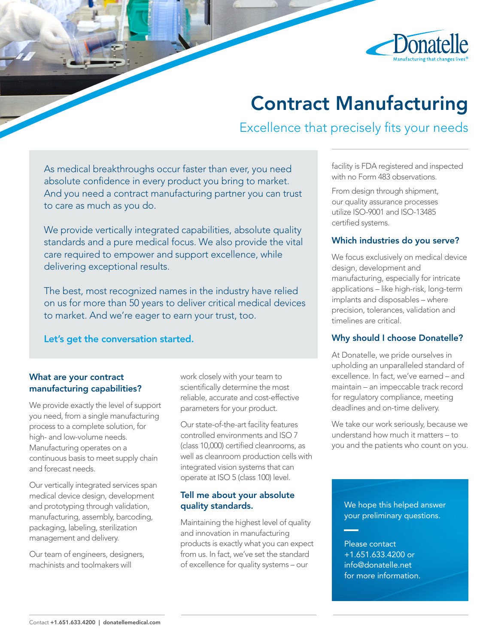

# Contract Manufacturing

Excellence that precisely fits your needs

As medical breakthroughs occur faster than ever, you need absolute confidence in every product you bring to market. And you need a contract manufacturing partner you can trust to care as much as you do.

We provide vertically integrated capabilities, absolute quality standards and a pure medical focus. We also provide the vital care required to empower and support excellence, while delivering exceptional results.

The best, most recognized names in the industry have relied on us for more than 50 years to deliver critical medical devices to market. And we're eager to earn your trust, too.

Let's get the conversation started.

#### What are your contract manufacturing capabilities?

We provide exactly the level of support you need, from a single manufacturing process to a complete solution, for high- and low-volume needs. Manufacturing operates on a continuous basis to meet supply chain and forecast needs.

Our vertically integrated services span medical device design, development and prototyping through validation, manufacturing, assembly, barcoding, packaging, labeling, sterilization management and delivery.

Our team of engineers, designers, machinists and toolmakers will

work closely with your team to scientifically determine the most reliable, accurate and cost-effective parameters for your product.

Our state-of-the-art facility features controlled environments and ISO 7 (class 10,000) certified cleanrooms, as well as cleanroom production cells with integrated vision systems that can operate at ISO 5 (class 100) level.

#### Tell me about your absolute quality standards.

Maintaining the highest level of quality and innovation in manufacturing products is exactly what you can expect from us. In fact, we've set the standard of excellence for quality systems – our

facility is FDA registered and inspected with no Form 483 observations.

From design through shipment, our quality assurance processes utilize ISO-9001 and ISO-13485 certified systems.

#### Which industries do you serve?

We focus exclusively on medical device design, development and manufacturing, especially for intricate applications – like high-risk, long-term implants and disposables – where precision, tolerances, validation and timelines are critical.

#### Why should I choose Donatelle?

At Donatelle, we pride ourselves in upholding an unparalleled standard of excellence. In fact, we've earned – and maintain – an impeccable track record for regulatory compliance, meeting deadlines and on-time delivery.

We take our work seriously, because we understand how much it matters – to you and the patients who count on you.

We hope this helped answer your preliminary questions.

Please contact +1.651.633.4200 or info@donatelle.net for more information.